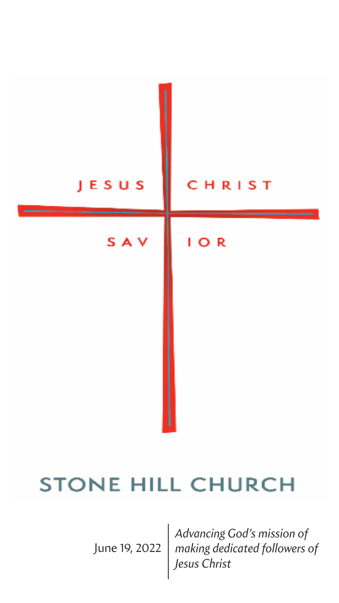# JESUS CHRIST **SAV**  $I$  O R

## STONE HILL CHURCH

June 19, 2022

*Advancing God's mission of making dedicated followers of Jesus Christ*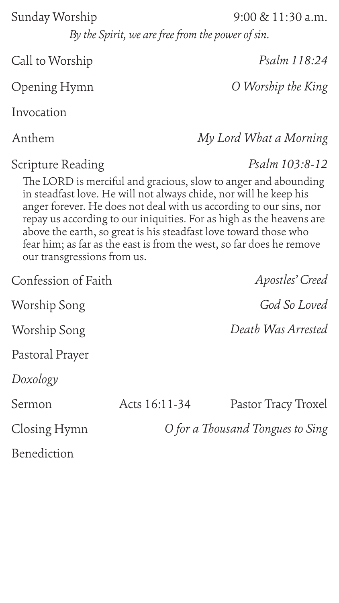*By the Spirit, we are free from the power of sin.*

Call to Worship

*O for a Thousand Tongues to Sing* Acts 16:11-34 Pastor Tracy Troxel

Scripture Reading

Anthem

Invocation

Sermon

Closing Hymn

*My Lord What a Morning*

#### Sunday Worship 9:00 & 11:30 a.m.

*Psalm 103:8-12*

Opening Hymn *O Worship the King*

The LORD is merciful and gracious, slow to anger and abounding in steadfast love. He will not always chide, nor will he keep his anger forever. He does not deal with us according to our sins, nor repay us according to our iniquities. For as high as the heavens are above the earth, so great is his steadfast love toward those who fear him; as far as the east is from the west, so far does he remove our transgressions from us.

Pastoral Prayer

Benediction

Worship Song *God So Loved*

#### Confession of Faith

Worship Song *Death Was Arrested*

*Psalm 118:24*

*Apostles' Creed*

*Doxology*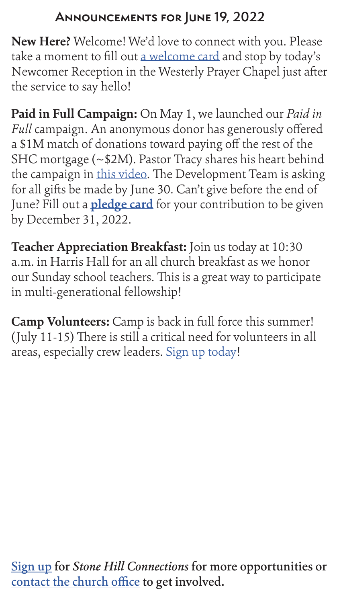### **Announcements for June 19, 2022**

**New Here?** Welcome! We'd love to connect with you. Please take a moment to fill out [a welcome card](https://stonehillprinceton.ccbchurch.com/goto/forms/195/responses/new) and stop by today's Newcomer Reception in the Westerly Prayer Chapel just after the service to say hello!



#### [contact the church office](mailto:info%40stonehillprinceton.org?subject=) to get involved.

**Paid in Full Campaign:** On May 1, we launched our *Paid in Full* campaign. An anonymous donor has generously offered a \$1M match of donations toward paying off the rest of the SHC mortgage (~\$2M). Pastor Tracy shares his heart behind the campaign in [this video.](https://vimeo.com/704245859) The Development Team is asking for all gifts be made by June 30. Can't give before the end of June? Fill out a **[pledge card](https://stonehillprinceton.ccbchurch.com/goto/forms/337/responses/new)** for your contribution to be given by December 31, 2022.

**Teacher Appreciation Breakfast:** Join us today at 10:30 a.m. in Harris Hall for an all church breakfast as we honor our Sunday school teachers. This is a great way to participate in multi-generational fellowship!

**Camp Volunteers:** Camp is back in full force this summer! (July 11-15) There is still a critical need for volunteers in all areas, especially crew leaders. [Sign up today!](https://stonehillprinceton.ccbchurch.com/goto/forms/314/responses/new)